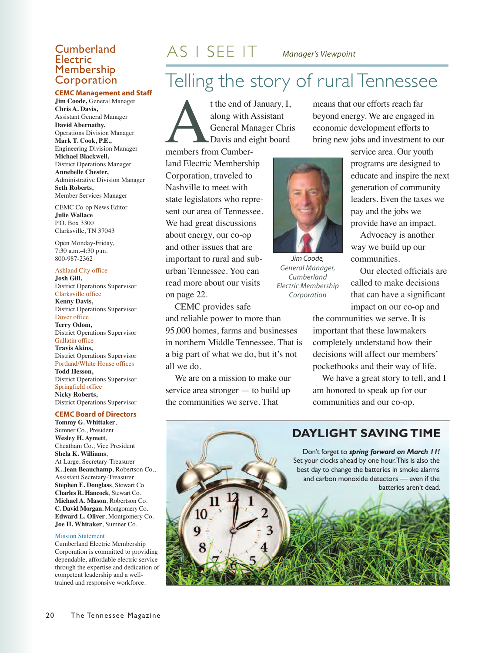### Electric Membership Corporation

#### **CEMC Management and Staff**

**Jim Coode,** General Manager **Chris A. Davis,** Assistant General Manager **David Abernathy,** Operations Division Manager **Mark T. Cook, P.E.,** Engineering Division Manager **Michael Blackwell,** District Operations Manager **Annebelle Chester,** Administrative Division Manager **Seth Roberts,** Member Services Manager

CEMC Co-op News Editor **Julie Wallace** P.O. Box 3300 Clarksville, TN 37043

Open Monday-Friday, 7:30 a.m.-4:30 p.m. 800-987-2362

Ashland City office **Josh Gill,** District Operations Supervisor Clarksville office **Kenny Davis,** District Operations Supervisor

Dover office **Terry Odom,** District Operations Supervisor Gallatin office **Travis Akins,** District Operations Supervisor Portland/White House offices **Todd Hesson,** District Operations Supervisor Springfield office **Nicky Roberts,** District Operations Supervisor

#### **CEMC Board of Directors**

**Tommy G. Whittaker**, Sumner Co., President **Wesley H. Aymett**, Cheatham Co., Vice President **Shela K. Williams**, At Large, Secretary-Treasurer **K. Jean Beauchamp**, Robertson Co., Assistant Secretary-Treasurer **Stephen E. Douglass**, Stewart Co. **Charles R. Hancock**, Stewart Co. **Michael A. Mason**, Robertson Co. **C. David Morgan**, Montgomery Co. **Edward L. Oliver**, Montgomery Co. **Joe H. Whitaker**, Sumner Co.

#### Mission Statement

Cumberland Electric Membership Corporation is committed to providing dependable, affordable electric service through the expertise and dedication of competent leadership and a welltrained and responsive workforce.

### **Cumberland**  $AS \perp SEE \perp T$  *Manager's Viewpoint*

## Telling the story of rural Tennessee

t the end of January, I,<br>along with Assistant<br>General Manager Chri<br>Davis and eight board<br>members from Cumberalong with Assistant General Manager Chris Davis and eight board

members from Cumberland Electric Membership Corporation, traveled to Nashville to meet with state legislators who represent our area of Tennessee. We had great discussions about energy, our co-op and other issues that are important to rural and suburban Tennessee. You can read more about our visits on page 22.

CEMC provides safe and reliable power to more than 95,000 homes, farms and businesses

in northern Middle Tennessee. That is a big part of what we do, but it's not all we do.

We are on a mission to make our service area stronger — to build up the communities we serve. That

means that our efforts reach far beyond energy. We are engaged in economic development efforts to bring new jobs and investment to our

> service area. Our youth programs are designed to educate and inspire the next generation of community leaders. Even the taxes we pay and the jobs we provide have an impact.

Advocacy is another way we build up our communities.

Our elected officials are called to make decisions that can have a significant impact on our co-op and

the communities we serve. It is important that these lawmakers completely understand how their decisions will affect our members' pocketbooks and their way of life.

We have a great story to tell, and I am honored to speak up for our communities and our co-op.



20 The Tennessee Magazine

*Corporation*

*Jim Coode, General Manager, Cumberland Electric Membership*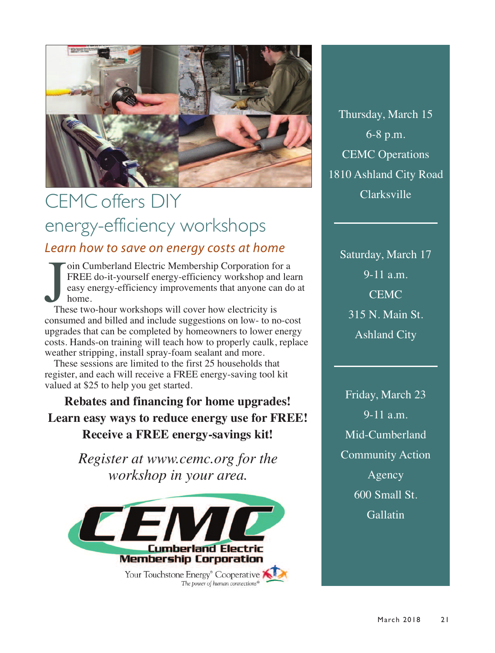

## CEMC offers DIY energy-efficiency workshops *Learn how to save on energy costs at home*

These two-hour workshops will cover how electricity is<br>These two-hour workshops will cover how electricity is<br>These two-hour workshops will cover how electricity is oin Cumberland Electric Membership Corporation for a FREE do-it-yourself energy-efficiency workshop and learn easy energy-efficiency improvements that anyone can do at home.

consumed and billed and include suggestions on low- to no-cost upgrades that can be completed by homeowners to lower energy costs. Hands-on training will teach how to properly caulk, replace weather stripping, install spray-foam sealant and more.

These sessions are limited to the first 25 households that register, and each will receive a FREE energy-saving tool kit valued at \$25 to help you get started.

**Rebates and financing for home upgrades! Learn easy ways to reduce energy use for FREE! Receive a FREE energy-savings kit!**

> *Register at www.cemc.org for the workshop in your area.*



Thursday, March 15 6-8 p.m. CEMC Operations 1810 Ashland City Road Clarksville

Saturday, March 17 9-11 a.m. **CEMC** 315 N. Main St. Ashland City

Friday, March 23 9-11 a.m. Mid-Cumberland Community Action Agency 600 Small St. **Gallatin**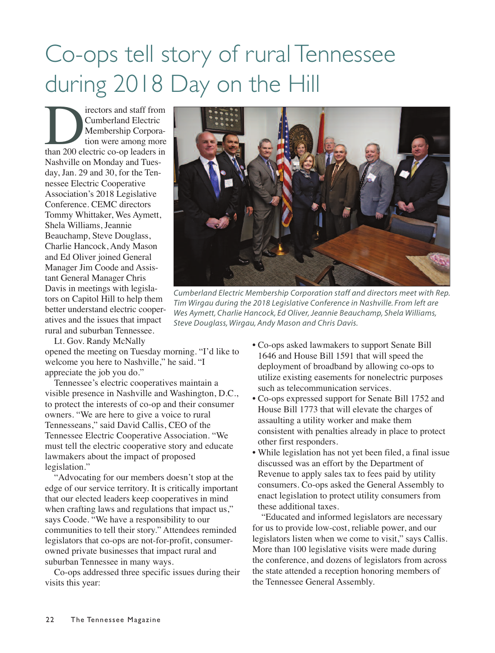## Co-ops tell story of rural Tennessee during 2018 Day on the Hill

Internation and staff from<br>
Cumberland Electric<br>
Membership Corpora-<br>
tion were among more<br>
than 200 electric co-op leaders in Cumberland Electric Membership Corporation were among more Nashville on Monday and Tuesday, Jan. 29 and 30, for the Tennessee Electric Cooperative Association's 2018 Legislative Conference. CEMC directors Tommy Whittaker, Wes Aymett, Shela Williams, Jeannie Beauchamp, Steve Douglass, Charlie Hancock, Andy Mason and Ed Oliver joined General Manager Jim Coode and Assistant General Manager Chris Davis in meetings with legislators on Capitol Hill to help them better understand electric cooperatives and the issues that impact rural and suburban Tennessee.

Lt. Gov. Randy McNally

opened the meeting on Tuesday morning. "I'd like to welcome you here to Nashville," he said. "I appreciate the job you do."

Tennessee's electric cooperatives maintain a visible presence in Nashville and Washington, D.C., to protect the interests of co-op and their consumer owners. "We are here to give a voice to rural Tennesseans," said David Callis, CEO of the Tennessee Electric Cooperative Association. "We must tell the electric cooperative story and educate lawmakers about the impact of proposed legislation."

"Advocating for our members doesn't stop at the edge of our service territory. It is critically important that our elected leaders keep cooperatives in mind when crafting laws and regulations that impact us," says Coode. "We have a responsibility to our communities to tell their story." Attendees reminded legislators that co-ops are not-for-profit, consumerowned private businesses that impact rural and suburban Tennessee in many ways.

Co-ops addressed three specific issues during their visits this year:



*Cumberland Electric Membership Corporation staff and directors meet with Rep. Tim Wirgau during the 2018 Legislative Conference in Nashville. From left are Wes Aymett, Charlie Hancock, Ed Oliver,Jeannie Beauchamp, Shela Williams, Steve Douglass, Wirgau, Andy Mason and Chris Davis.*

- Co-ops asked lawmakers to support Senate Bill 1646 and House Bill 1591 that will speed the deployment of broadband by allowing co-ops to utilize existing easements for nonelectric purposes such as telecommunication services.
- Co-ops expressed support for Senate Bill 1752 and House Bill 1773 that will elevate the charges of assaulting a utility worker and make them consistent with penalties already in place to protect other first responders.
- While legislation has not yet been filed, a final issue discussed was an effort by the Department of Revenue to apply sales tax to fees paid by utility consumers. Co-ops asked the General Assembly to enact legislation to protect utility consumers from these additional taxes.

"Educated and informed legislators are necessary for us to provide low-cost, reliable power, and our legislators listen when we come to visit," says Callis. More than 100 legislative visits were made during the conference, and dozens of legislators from across the state attended a reception honoring members of the Tennessee General Assembly.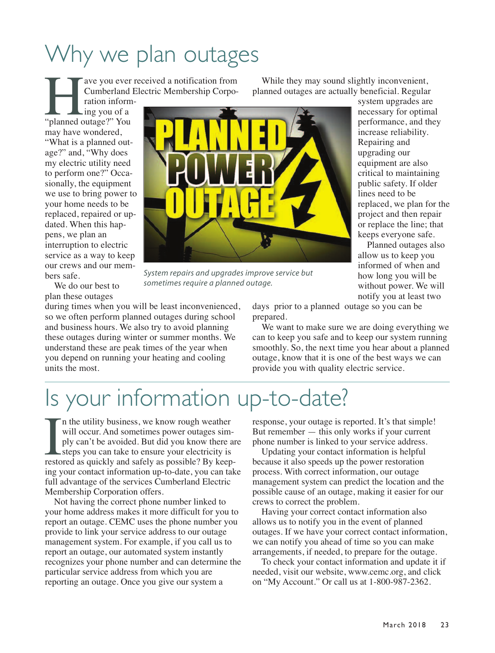## Why we plan outages

ave you ever received a notification from Cumberland Electric Membership Corpo-

ration informing you of a "planned outage?" You may have wondered, "What is a planned outage?" and, "Why does my electric utility need to perform one?" Occasionally, the equipment we use to bring power to your home needs to be replaced, repaired or updated. When this happens, we plan an interruption to electric service as a way to keep our crews and our members safe.



*System repairs and upgrades improve service but sometimes require a planned outage.*

We do our best to plan these outages

during times when you will be least inconvenienced, so we often perform planned outages during school and business hours. We also try to avoid planning these outages during winter or summer months. We understand these are peak times of the year when you depend on running your heating and cooling units the most.

While they may sound slightly inconvenient, planned outages are actually beneficial. Regular

> system upgrades are necessary for optimal performance, and they increase reliability. Repairing and upgrading our equipment are also critical to maintaining public safety. If older lines need to be replaced, we plan for the project and then repair or replace the line; that keeps everyone safe.

Planned outages also allow us to keep you informed of when and how long you will be without power. We will notify you at least two

days prior to a planned outage so you can be prepared.

We want to make sure we are doing everything we can to keep you safe and to keep our system running smoothly. So, the next time you hear about a planned outage, know that it is one of the best ways we can provide you with quality electric service.

## Is your information up-to-date?

In the utility business, we know rough weather<br>will occur. And sometimes power outages sim-<br>ply can't be avoided. But did you know there are<br>steps you can take to ensure your electricity is<br>restored as quickly and safely a n the utility business, we know rough weather will occur. And sometimes power outages simply can't be avoided. But did you know there are steps you can take to ensure your electricity is ing your contact information up-to-date, you can take full advantage of the services Cumberland Electric Membership Corporation offers.

Not having the correct phone number linked to your home address makes it more difficult for you to report an outage. CEMC uses the phone number you provide to link your service address to our outage management system. For example, if you call us to report an outage, our automated system instantly recognizes your phone number and can determine the particular service address from which you are reporting an outage. Once you give our system a

response, your outage is reported. It's that simple! But remember — this only works if your current phone number is linked to your service address.

Updating your contact information is helpful because it also speeds up the power restoration process. With correct information, our outage management system can predict the location and the possible cause of an outage, making it easier for our crews to correct the problem.

Having your correct contact information also allows us to notify you in the event of planned outages. If we have your correct contact information, we can notify you ahead of time so you can make arrangements, if needed, to prepare for the outage.

To check your contact information and update it if needed, visit our website, www.cemc.org, and click on "My Account." Or call us at 1-800-987-2362.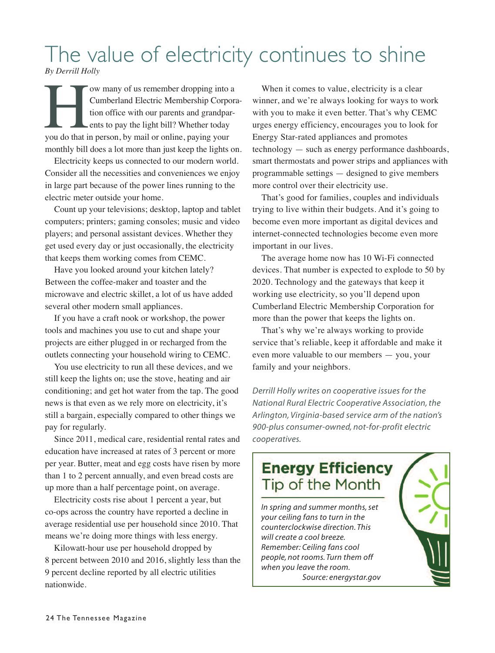## The value of electricity continues to shine

*By Derrill Holly*

We many of us remember dropping into a<br>
Cumberland Electric Membership Corpor<br>
tion office with our parents and grandpar-<br>
ents to pay the light bill? Whether today<br>
you do that in person, by mail or online, paying your Cumberland Electric Membership Corporation office with our parents and grandparents to pay the light bill? Whether today monthly bill does a lot more than just keep the lights on.

Electricity keeps us connected to our modern world. Consider all the necessities and conveniences we enjoy in large part because of the power lines running to the electric meter outside your home.

Count up your televisions; desktop, laptop and tablet computers; printers; gaming consoles; music and video players; and personal assistant devices. Whether they get used every day or just occasionally, the electricity that keeps them working comes from CEMC.

Have you looked around your kitchen lately? Between the coffee-maker and toaster and the microwave and electric skillet, a lot of us have added several other modern small appliances.

If you have a craft nook or workshop, the power tools and machines you use to cut and shape your projects are either plugged in or recharged from the outlets connecting your household wiring to CEMC.

You use electricity to run all these devices, and we still keep the lights on; use the stove, heating and air conditioning; and get hot water from the tap. The good news is that even as we rely more on electricity, it's still a bargain, especially compared to other things we pay for regularly.

Since 2011, medical care, residential rental rates and education have increased at rates of 3 percent or more per year. Butter, meat and egg costs have risen by more than 1 to 2 percent annually, and even bread costs are up more than a half percentage point, on average.

Electricity costs rise about 1 percent a year, but co-ops across the country have reported a decline in average residential use per household since 2010. That means we're doing more things with less energy.

Kilowatt-hour use per household dropped by 8 percent between 2010 and 2016, slightly less than the 9 percent decline reported by all electric utilities nationwide.

When it comes to value, electricity is a clear winner, and we're always looking for ways to work with you to make it even better. That's why CEMC urges energy efficiency, encourages you to look for Energy Star-rated appliances and promotes technology — such as energy performance dashboards, smart thermostats and power strips and appliances with programmable settings — designed to give members more control over their electricity use.

That's good for families, couples and individuals trying to live within their budgets. And it's going to become even more important as digital devices and internet-connected technologies become even more important in our lives.

The average home now has 10 Wi-Fi connected devices. That number is expected to explode to 50 by 2020. Technology and the gateways that keep it working use electricity, so you'll depend upon Cumberland Electric Membership Corporation for more than the power that keeps the lights on.

That's why we're always working to provide service that's reliable, keep it affordable and make it even more valuable to our members — you, your family and your neighbors.

*Derrill Holly writes on cooperative issues for the National Rural Electric Cooperative Association, the Arlington, Virginia-based service arm of the nation's 900-plus consumer-owned, not-for-profit electric cooperatives.*

### **Energy Efficiency** Tip of the Month

*In spring and summer months,set your ceiling fans to turn in the counterclockwise direction. This will create a cool breeze. Remember: Ceiling fans cool people, not rooms. Turn them off when you leave the room. Source: energystar.gov*

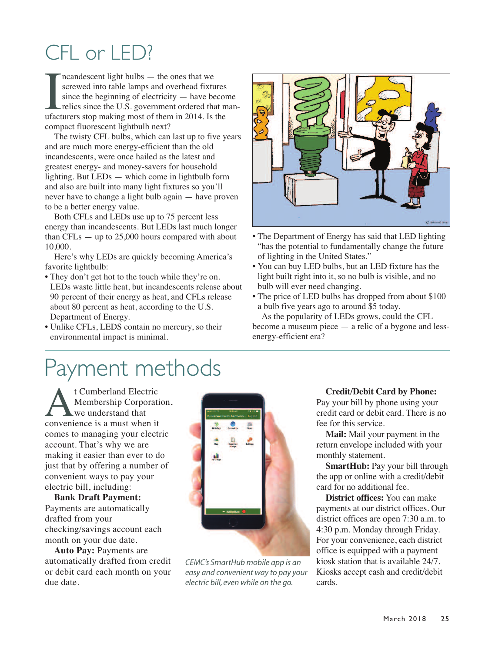## CFL or LED?

Incandescent light bulbs — the ones that we<br>screwed into table lamps and overhead fixtures<br>since the beginning of electricity — have beco<br>relics since the U.S. government ordered that n<br>ufacturers stop making most of them ncandescent light bulbs — the ones that we screwed into table lamps and overhead fixtures since the beginning of electricity — have become relics since the U.S. government ordered that mancompact fluorescent lightbulb next?

The twisty CFL bulbs, which can last up to five years and are much more energy-efficient than the old incandescents, were once hailed as the latest and greatest energy- and money-savers for household lighting. But LEDs — which come in lightbulb form and also are built into many light fixtures so you'll never have to change a light bulb again — have proven to be a better energy value.

Both CFLs and LEDs use up to 75 percent less energy than incandescents. But LEDs last much longer than  $CFLs - up to 25,000$  hours compared with about 10,000.

Here's why LEDs are quickly becoming America's favorite lightbulb:

- They don't get hot to the touch while they're on. LEDs waste little heat, but incandescents release about 90 percent of their energy as heat, and CFLs release about 80 percent as heat, according to the U.S. Department of Energy.
- Unlike CFLs, LEDS contain no mercury, so their environmental impact is minimal.



- The Department of Energy has said that LED lighting "has the potential to fundamentally change the future of lighting in the United States."
- You can buy LED bulbs, but an LED fixture has the light built right into it, so no bulb is visible, and no bulb will ever need changing.
- The price of LED bulbs has dropped from about \$100 a bulb five years ago to around \$5 today.

As the popularity of LEDs grows, could the CFL become a museum piece — a relic of a bygone and lessenergy-efficient era?

## Payment methods

**A**t Cumberland Electric<br>
We understand that<br>
convenience is a must when it Membership Corporation, we understand that comes to managing your electric account. That's why we are making it easier than ever to do just that by offering a number of convenient ways to pay your electric bill, including:

**Bank Draft Payment:** Payments are automatically drafted from your checking/savings account each month on your due date.

**Auto Pay:** Payments are automatically drafted from credit or debit card each month on your due date.



*CEMC's SmartHub mobile app is an easy and convenient way to pay your electric bill, even while on the go.*

### **Credit/Debit Card by Phone:**

Pay your bill by phone using your credit card or debit card. There is no fee for this service.

**Mail:** Mail your payment in the return envelope included with your monthly statement.

**SmartHub:** Pay your bill through the app or online with a credit/debit card for no additional fee.

**District offices:** You can make payments at our district offices. Our district offices are open 7:30 a.m. to 4:30 p.m. Monday through Friday. For your convenience, each district office is equipped with a payment kiosk station that is available 24/7. Kiosks accept cash and credit/debit cards.